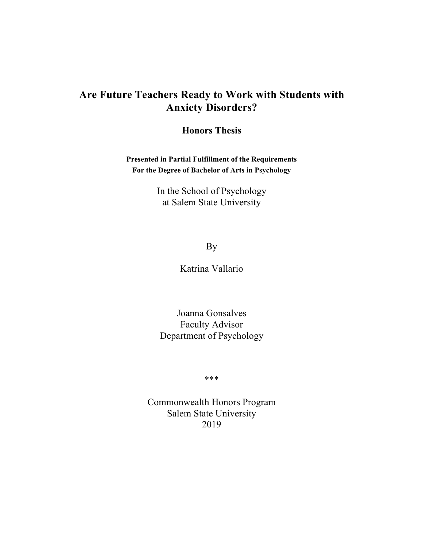# **Are Future Teachers Ready to Work with Students with Anxiety Disorders?**

**Honors Thesis**

**Presented in Partial Fulfillment of the Requirements For the Degree of Bachelor of Arts in Psychology**

> In the School of Psychology at Salem State University

> > By

Katrina Vallario

Joanna Gonsalves Faculty Advisor Department of Psychology

\*\*\*

Commonwealth Honors Program Salem State University 2019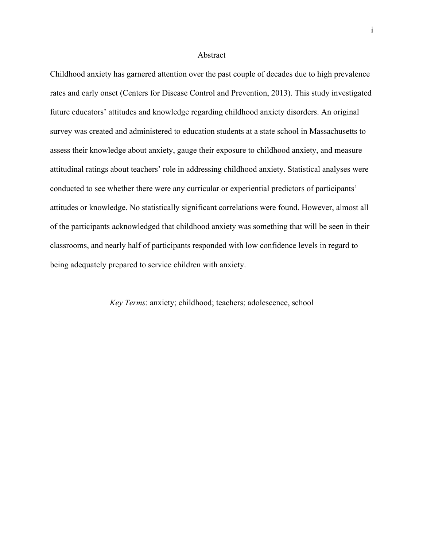#### Abstract

Childhood anxiety has garnered attention over the past couple of decades due to high prevalence rates and early onset (Centers for Disease Control and Prevention, 2013). This study investigated future educators' attitudes and knowledge regarding childhood anxiety disorders. An original survey was created and administered to education students at a state school in Massachusetts to assess their knowledge about anxiety, gauge their exposure to childhood anxiety, and measure attitudinal ratings about teachers' role in addressing childhood anxiety. Statistical analyses were conducted to see whether there were any curricular or experiential predictors of participants' attitudes or knowledge. No statistically significant correlations were found. However, almost all of the participants acknowledged that childhood anxiety was something that will be seen in their classrooms, and nearly half of participants responded with low confidence levels in regard to being adequately prepared to service children with anxiety.

## *Key Terms*: anxiety; childhood; teachers; adolescence, school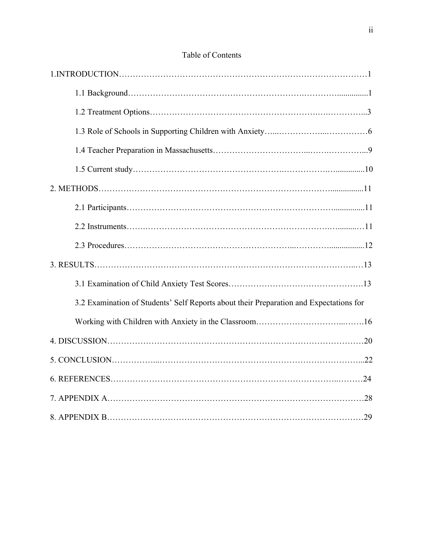| 3.2 Examination of Students' Self Reports about their Preparation and Expectations for |  |
|----------------------------------------------------------------------------------------|--|
|                                                                                        |  |
|                                                                                        |  |
|                                                                                        |  |
|                                                                                        |  |
|                                                                                        |  |
|                                                                                        |  |

## Table of Contents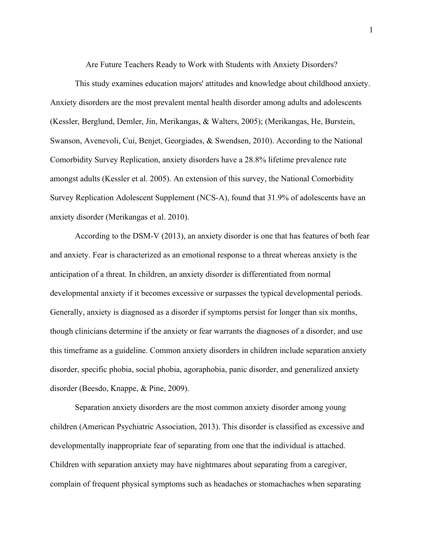Are Future Teachers Ready to Work with Students with Anxiety Disorders?

This study examines education majors' attitudes and knowledge about childhood anxiety. Anxiety disorders are the most prevalent mental health disorder among adults and adolescents (Kessler, Berglund, Demler, Jin, Merikangas, & Walters, 2005); (Merikangas, He, Burstein, Swanson, Avenevoli, Cui, Benjet, Georgiades, & Swendsen, 2010). According to the National Comorbidity Survey Replication, anxiety disorders have a 28.8% lifetime prevalence rate amongst adults (Kessler et al. 2005). An extension of this survey, the National Comorbidity Survey Replication Adolescent Supplement (NCS-A), found that 31.9% of adolescents have an anxiety disorder (Merikangas et al. 2010).

According to the DSM-V (2013), an anxiety disorder is one that has features of both fear and anxiety. Fear is characterized as an emotional response to a threat whereas anxiety is the anticipation of a threat. In children, an anxiety disorder is differentiated from normal developmental anxiety if it becomes excessive or surpasses the typical developmental periods. Generally, anxiety is diagnosed as a disorder if symptoms persist for longer than six months, though clinicians determine if the anxiety or fear warrants the diagnoses of a disorder, and use this timeframe as a guideline. Common anxiety disorders in children include separation anxiety disorder, specific phobia, social phobia, agoraphobia, panic disorder, and generalized anxiety disorder (Beesdo, Knappe, & Pine, 2009).

Separation anxiety disorders are the most common anxiety disorder among young children (American Psychiatric Association, 2013). This disorder is classified as excessive and developmentally inappropriate fear of separating from one that the individual is attached. Children with separation anxiety may have nightmares about separating from a caregiver, complain of frequent physical symptoms such as headaches or stomachaches when separating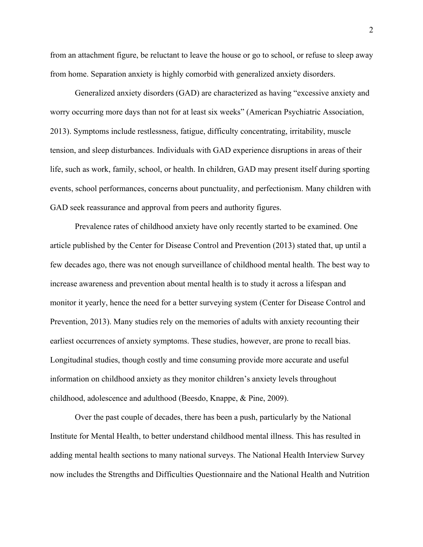from an attachment figure, be reluctant to leave the house or go to school, or refuse to sleep away from home. Separation anxiety is highly comorbid with generalized anxiety disorders.

Generalized anxiety disorders (GAD) are characterized as having "excessive anxiety and worry occurring more days than not for at least six weeks" (American Psychiatric Association, 2013). Symptoms include restlessness, fatigue, difficulty concentrating, irritability, muscle tension, and sleep disturbances. Individuals with GAD experience disruptions in areas of their life, such as work, family, school, or health. In children, GAD may present itself during sporting events, school performances, concerns about punctuality, and perfectionism. Many children with GAD seek reassurance and approval from peers and authority figures.

Prevalence rates of childhood anxiety have only recently started to be examined. One article published by the Center for Disease Control and Prevention (2013) stated that, up until a few decades ago, there was not enough surveillance of childhood mental health. The best way to increase awareness and prevention about mental health is to study it across a lifespan and monitor it yearly, hence the need for a better surveying system (Center for Disease Control and Prevention, 2013). Many studies rely on the memories of adults with anxiety recounting their earliest occurrences of anxiety symptoms. These studies, however, are prone to recall bias. Longitudinal studies, though costly and time consuming provide more accurate and useful information on childhood anxiety as they monitor children's anxiety levels throughout childhood, adolescence and adulthood (Beesdo, Knappe, & Pine, 2009).

Over the past couple of decades, there has been a push, particularly by the National Institute for Mental Health, to better understand childhood mental illness. This has resulted in adding mental health sections to many national surveys. The National Health Interview Survey now includes the Strengths and Difficulties Questionnaire and the National Health and Nutrition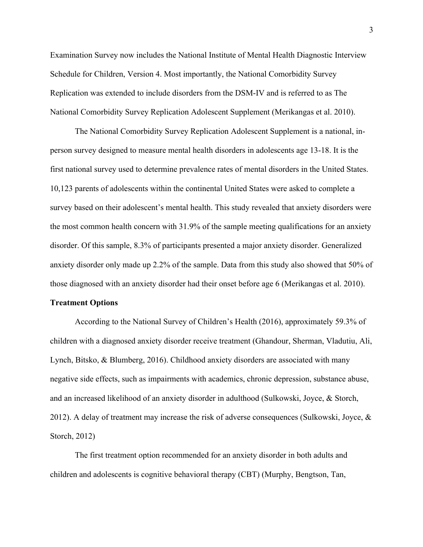Examination Survey now includes the National Institute of Mental Health Diagnostic Interview Schedule for Children, Version 4. Most importantly, the National Comorbidity Survey Replication was extended to include disorders from the DSM-IV and is referred to as The National Comorbidity Survey Replication Adolescent Supplement (Merikangas et al. 2010).

The National Comorbidity Survey Replication Adolescent Supplement is a national, inperson survey designed to measure mental health disorders in adolescents age 13-18. It is the first national survey used to determine prevalence rates of mental disorders in the United States. 10,123 parents of adolescents within the continental United States were asked to complete a survey based on their adolescent's mental health. This study revealed that anxiety disorders were the most common health concern with 31.9% of the sample meeting qualifications for an anxiety disorder. Of this sample, 8.3% of participants presented a major anxiety disorder. Generalized anxiety disorder only made up 2.2% of the sample. Data from this study also showed that 50% of those diagnosed with an anxiety disorder had their onset before age 6 (Merikangas et al. 2010).

#### **Treatment Options**

According to the National Survey of Children's Health (2016), approximately 59.3% of children with a diagnosed anxiety disorder receive treatment (Ghandour, Sherman, Vladutiu, Ali, Lynch, Bitsko, & Blumberg, 2016). Childhood anxiety disorders are associated with many negative side effects, such as impairments with academics, chronic depression, substance abuse, and an increased likelihood of an anxiety disorder in adulthood (Sulkowski, Joyce, & Storch, 2012). A delay of treatment may increase the risk of adverse consequences (Sulkowski, Joyce, & Storch, 2012)

The first treatment option recommended for an anxiety disorder in both adults and children and adolescents is cognitive behavioral therapy (CBT) (Murphy, Bengtson, Tan,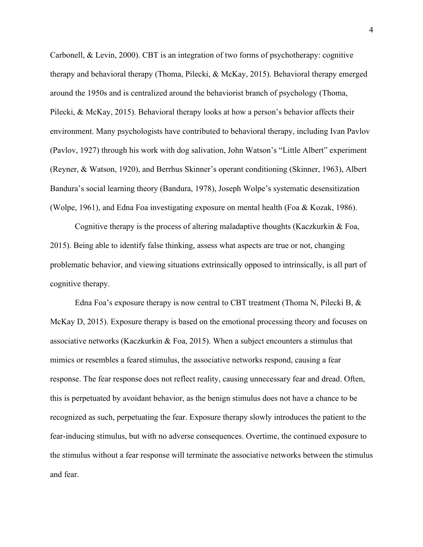Carbonell, & Levin, 2000). CBT is an integration of two forms of psychotherapy: cognitive therapy and behavioral therapy (Thoma, Pilecki, & McKay, 2015). Behavioral therapy emerged around the 1950s and is centralized around the behaviorist branch of psychology (Thoma, Pilecki, & McKay, 2015). Behavioral therapy looks at how a person's behavior affects their environment. Many psychologists have contributed to behavioral therapy, including Ivan Pavlov (Pavlov, 1927) through his work with dog salivation, John Watson's "Little Albert" experiment (Reyner, & Watson, 1920), and Berrhus Skinner's operant conditioning (Skinner, 1963), Albert Bandura's social learning theory (Bandura, 1978), Joseph Wolpe's systematic desensitization (Wolpe, 1961), and Edna Foa investigating exposure on mental health (Foa & Kozak, 1986).

Cognitive therapy is the process of altering maladaptive thoughts (Kaczkurkin & Foa, 2015). Being able to identify false thinking, assess what aspects are true or not, changing problematic behavior, and viewing situations extrinsically opposed to intrinsically, is all part of cognitive therapy.

Edna Foa's exposure therapy is now central to CBT treatment (Thoma N, Pilecki B, & McKay D, 2015). Exposure therapy is based on the emotional processing theory and focuses on associative networks (Kaczkurkin  $\&$  Foa, 2015). When a subject encounters a stimulus that mimics or resembles a feared stimulus, the associative networks respond, causing a fear response. The fear response does not reflect reality, causing unnecessary fear and dread. Often, this is perpetuated by avoidant behavior, as the benign stimulus does not have a chance to be recognized as such, perpetuating the fear. Exposure therapy slowly introduces the patient to the fear-inducing stimulus, but with no adverse consequences. Overtime, the continued exposure to the stimulus without a fear response will terminate the associative networks between the stimulus and fear.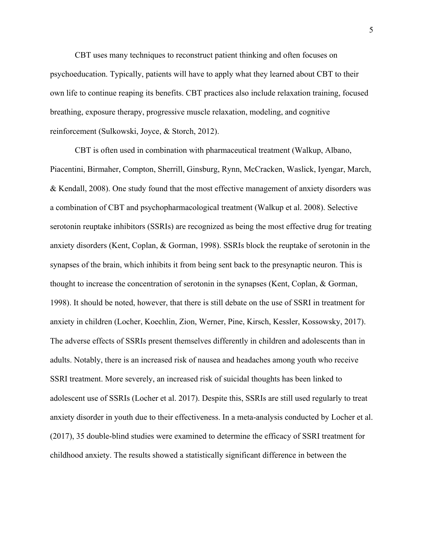CBT uses many techniques to reconstruct patient thinking and often focuses on psychoeducation. Typically, patients will have to apply what they learned about CBT to their own life to continue reaping its benefits. CBT practices also include relaxation training, focused breathing, exposure therapy, progressive muscle relaxation, modeling, and cognitive reinforcement (Sulkowski, Joyce, & Storch, 2012).

CBT is often used in combination with pharmaceutical treatment (Walkup, Albano, Piacentini, Birmaher, Compton, Sherrill, Ginsburg, Rynn, McCracken, Waslick, Iyengar, March, & Kendall, 2008). One study found that the most effective management of anxiety disorders was a combination of CBT and psychopharmacological treatment (Walkup et al. 2008). Selective serotonin reuptake inhibitors (SSRIs) are recognized as being the most effective drug for treating anxiety disorders (Kent, Coplan, & Gorman, 1998). SSRIs block the reuptake of serotonin in the synapses of the brain, which inhibits it from being sent back to the presynaptic neuron. This is thought to increase the concentration of serotonin in the synapses (Kent, Coplan, & Gorman, 1998). It should be noted, however, that there is still debate on the use of SSRI in treatment for anxiety in children (Locher, Koechlin, Zion, Werner, Pine, Kirsch, Kessler, Kossowsky, 2017). The adverse effects of SSRIs present themselves differently in children and adolescents than in adults. Notably, there is an increased risk of nausea and headaches among youth who receive SSRI treatment. More severely, an increased risk of suicidal thoughts has been linked to adolescent use of SSRIs (Locher et al. 2017). Despite this, SSRIs are still used regularly to treat anxiety disorder in youth due to their effectiveness. In a meta-analysis conducted by Locher et al. (2017), 35 double-blind studies were examined to determine the efficacy of SSRI treatment for childhood anxiety. The results showed a statistically significant difference in between the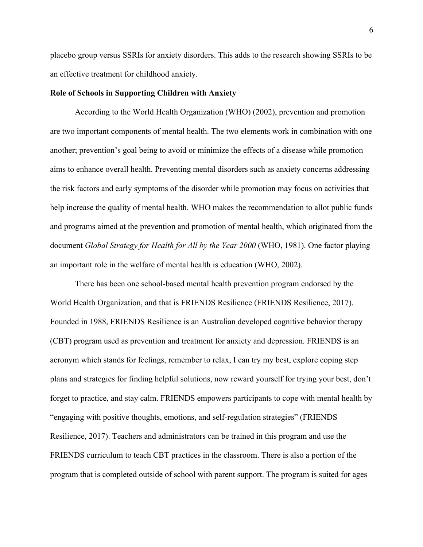placebo group versus SSRIs for anxiety disorders. This adds to the research showing SSRIs to be an effective treatment for childhood anxiety.

## **Role of Schools in Supporting Children with Anxiety**

According to the World Health Organization (WHO) (2002), prevention and promotion are two important components of mental health. The two elements work in combination with one another; prevention's goal being to avoid or minimize the effects of a disease while promotion aims to enhance overall health. Preventing mental disorders such as anxiety concerns addressing the risk factors and early symptoms of the disorder while promotion may focus on activities that help increase the quality of mental health. WHO makes the recommendation to allot public funds and programs aimed at the prevention and promotion of mental health, which originated from the document *Global Strategy for Health for All by the Year 2000* (WHO, 1981). One factor playing an important role in the welfare of mental health is education (WHO, 2002).

There has been one school-based mental health prevention program endorsed by the World Health Organization, and that is FRIENDS Resilience (FRIENDS Resilience, 2017). Founded in 1988, FRIENDS Resilience is an Australian developed cognitive behavior therapy (CBT) program used as prevention and treatment for anxiety and depression. FRIENDS is an acronym which stands for feelings, remember to relax, I can try my best, explore coping step plans and strategies for finding helpful solutions, now reward yourself for trying your best, don't forget to practice, and stay calm. FRIENDS empowers participants to cope with mental health by "engaging with positive thoughts, emotions, and self-regulation strategies" (FRIENDS Resilience, 2017). Teachers and administrators can be trained in this program and use the FRIENDS curriculum to teach CBT practices in the classroom. There is also a portion of the program that is completed outside of school with parent support. The program is suited for ages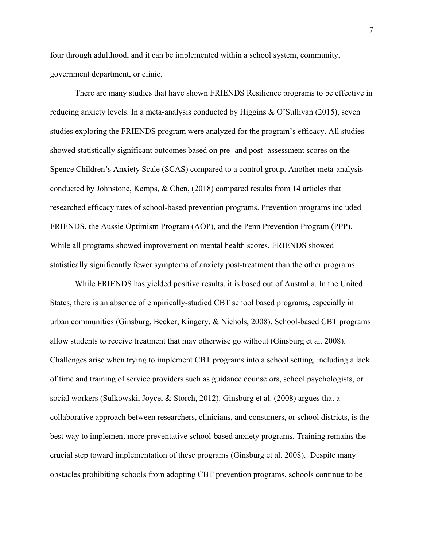four through adulthood, and it can be implemented within a school system, community, government department, or clinic.

There are many studies that have shown FRIENDS Resilience programs to be effective in reducing anxiety levels. In a meta-analysis conducted by Higgins & O'Sullivan (2015), seven studies exploring the FRIENDS program were analyzed for the program's efficacy. All studies showed statistically significant outcomes based on pre- and post- assessment scores on the Spence Children's Anxiety Scale (SCAS) compared to a control group. Another meta-analysis conducted by Johnstone, Kemps, & Chen, (2018) compared results from 14 articles that researched efficacy rates of school-based prevention programs. Prevention programs included FRIENDS, the Aussie Optimism Program (AOP), and the Penn Prevention Program (PPP). While all programs showed improvement on mental health scores, FRIENDS showed statistically significantly fewer symptoms of anxiety post-treatment than the other programs.

While FRIENDS has yielded positive results, it is based out of Australia. In the United States, there is an absence of empirically-studied CBT school based programs, especially in urban communities (Ginsburg, Becker, Kingery, & Nichols, 2008). School-based CBT programs allow students to receive treatment that may otherwise go without (Ginsburg et al. 2008). Challenges arise when trying to implement CBT programs into a school setting, including a lack of time and training of service providers such as guidance counselors, school psychologists, or social workers (Sulkowski, Joyce, & Storch, 2012). Ginsburg et al. (2008) argues that a collaborative approach between researchers, clinicians, and consumers, or school districts, is the best way to implement more preventative school-based anxiety programs. Training remains the crucial step toward implementation of these programs (Ginsburg et al. 2008). Despite many obstacles prohibiting schools from adopting CBT prevention programs, schools continue to be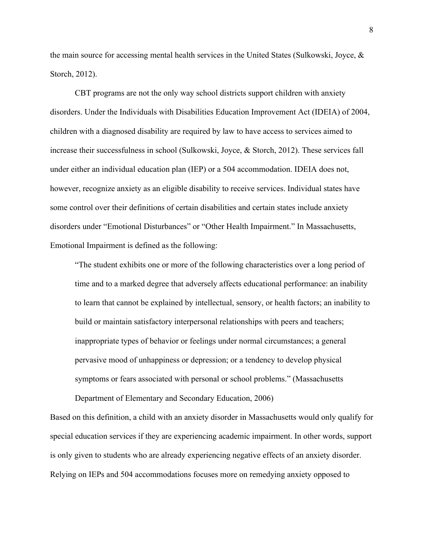the main source for accessing mental health services in the United States (Sulkowski, Joyce,  $\&$ Storch, 2012).

CBT programs are not the only way school districts support children with anxiety disorders. Under the Individuals with Disabilities Education Improvement Act (IDEIA) of 2004, children with a diagnosed disability are required by law to have access to services aimed to increase their successfulness in school (Sulkowski, Joyce, & Storch, 2012). These services fall under either an individual education plan (IEP) or a 504 accommodation. IDEIA does not, however, recognize anxiety as an eligible disability to receive services. Individual states have some control over their definitions of certain disabilities and certain states include anxiety disorders under "Emotional Disturbances" or "Other Health Impairment." In Massachusetts, Emotional Impairment is defined as the following:

"The student exhibits one or more of the following characteristics over a long period of time and to a marked degree that adversely affects educational performance: an inability to learn that cannot be explained by intellectual, sensory, or health factors; an inability to build or maintain satisfactory interpersonal relationships with peers and teachers; inappropriate types of behavior or feelings under normal circumstances; a general pervasive mood of unhappiness or depression; or a tendency to develop physical symptoms or fears associated with personal or school problems." (Massachusetts

Based on this definition, a child with an anxiety disorder in Massachusetts would only qualify for special education services if they are experiencing academic impairment. In other words, support is only given to students who are already experiencing negative effects of an anxiety disorder. Relying on IEPs and 504 accommodations focuses more on remedying anxiety opposed to

Department of Elementary and Secondary Education, 2006)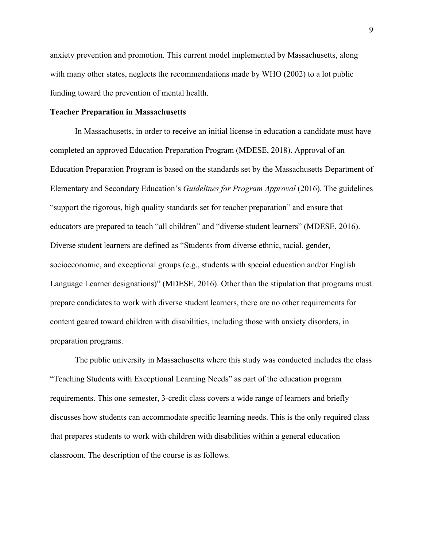anxiety prevention and promotion. This current model implemented by Massachusetts, along with many other states, neglects the recommendations made by WHO (2002) to a lot public funding toward the prevention of mental health.

## **Teacher Preparation in Massachusetts**

In Massachusetts, in order to receive an initial license in education a candidate must have completed an approved Education Preparation Program (MDESE, 2018). Approval of an Education Preparation Program is based on the standards set by the Massachusetts Department of Elementary and Secondary Education's *Guidelines for Program Approval* (2016). The guidelines "support the rigorous, high quality standards set for teacher preparation" and ensure that educators are prepared to teach "all children" and "diverse student learners" (MDESE, 2016). Diverse student learners are defined as "Students from diverse ethnic, racial, gender, socioeconomic, and exceptional groups (e.g., students with special education and/or English Language Learner designations)" (MDESE, 2016). Other than the stipulation that programs must prepare candidates to work with diverse student learners, there are no other requirements for content geared toward children with disabilities, including those with anxiety disorders, in preparation programs.

The public university in Massachusetts where this study was conducted includes the class "Teaching Students with Exceptional Learning Needs" as part of the education program requirements. This one semester, 3-credit class covers a wide range of learners and briefly discusses how students can accommodate specific learning needs. This is the only required class that prepares students to work with children with disabilities within a general education classroom. The description of the course is as follows.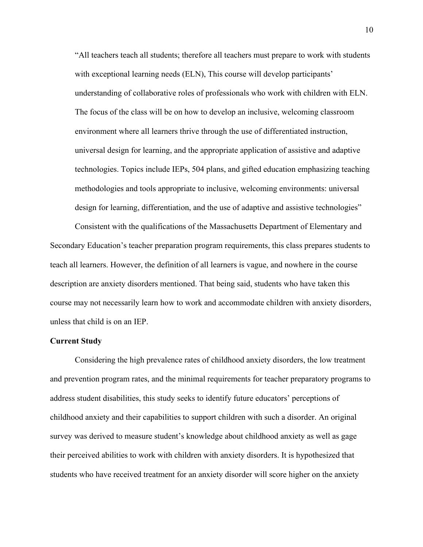"All teachers teach all students; therefore all teachers must prepare to work with students with exceptional learning needs (ELN), This course will develop participants' understanding of collaborative roles of professionals who work with children with ELN. The focus of the class will be on how to develop an inclusive, welcoming classroom environment where all learners thrive through the use of differentiated instruction, universal design for learning, and the appropriate application of assistive and adaptive technologies. Topics include IEPs, 504 plans, and gifted education emphasizing teaching methodologies and tools appropriate to inclusive, welcoming environments: universal design for learning, differentiation, and the use of adaptive and assistive technologies"

Consistent with the qualifications of the Massachusetts Department of Elementary and Secondary Education's teacher preparation program requirements, this class prepares students to teach all learners. However, the definition of all learners is vague, and nowhere in the course description are anxiety disorders mentioned. That being said, students who have taken this course may not necessarily learn how to work and accommodate children with anxiety disorders, unless that child is on an IEP.

#### **Current Study**

Considering the high prevalence rates of childhood anxiety disorders, the low treatment and prevention program rates, and the minimal requirements for teacher preparatory programs to address student disabilities, this study seeks to identify future educators' perceptions of childhood anxiety and their capabilities to support children with such a disorder. An original survey was derived to measure student's knowledge about childhood anxiety as well as gage their perceived abilities to work with children with anxiety disorders. It is hypothesized that students who have received treatment for an anxiety disorder will score higher on the anxiety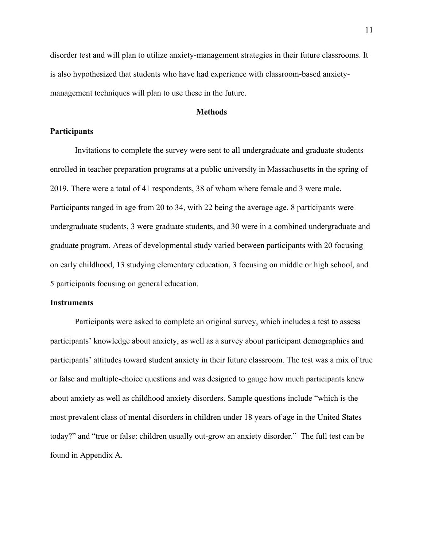disorder test and will plan to utilize anxiety-management strategies in their future classrooms. It is also hypothesized that students who have had experience with classroom-based anxietymanagement techniques will plan to use these in the future.

## **Methods**

## **Participants**

Invitations to complete the survey were sent to all undergraduate and graduate students enrolled in teacher preparation programs at a public university in Massachusetts in the spring of 2019. There were a total of 41 respondents, 38 of whom where female and 3 were male. Participants ranged in age from 20 to 34, with 22 being the average age. 8 participants were undergraduate students, 3 were graduate students, and 30 were in a combined undergraduate and graduate program. Areas of developmental study varied between participants with 20 focusing on early childhood, 13 studying elementary education, 3 focusing on middle or high school, and 5 participants focusing on general education.

## **Instruments**

Participants were asked to complete an original survey, which includes a test to assess participants' knowledge about anxiety, as well as a survey about participant demographics and participants' attitudes toward student anxiety in their future classroom. The test was a mix of true or false and multiple-choice questions and was designed to gauge how much participants knew about anxiety as well as childhood anxiety disorders. Sample questions include "which is the most prevalent class of mental disorders in children under 18 years of age in the United States today?" and "true or false: children usually out-grow an anxiety disorder." The full test can be found in Appendix A.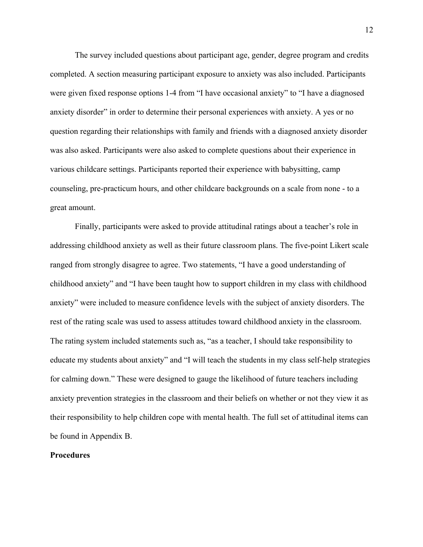The survey included questions about participant age, gender, degree program and credits completed. A section measuring participant exposure to anxiety was also included. Participants were given fixed response options 1-4 from "I have occasional anxiety" to "I have a diagnosed anxiety disorder" in order to determine their personal experiences with anxiety. A yes or no question regarding their relationships with family and friends with a diagnosed anxiety disorder was also asked. Participants were also asked to complete questions about their experience in various childcare settings. Participants reported their experience with babysitting, camp counseling, pre-practicum hours, and other childcare backgrounds on a scale from none - to a great amount.

Finally, participants were asked to provide attitudinal ratings about a teacher's role in addressing childhood anxiety as well as their future classroom plans. The five-point Likert scale ranged from strongly disagree to agree. Two statements, "I have a good understanding of childhood anxiety" and "I have been taught how to support children in my class with childhood anxiety" were included to measure confidence levels with the subject of anxiety disorders. The rest of the rating scale was used to assess attitudes toward childhood anxiety in the classroom. The rating system included statements such as, "as a teacher, I should take responsibility to educate my students about anxiety" and "I will teach the students in my class self-help strategies for calming down." These were designed to gauge the likelihood of future teachers including anxiety prevention strategies in the classroom and their beliefs on whether or not they view it as their responsibility to help children cope with mental health. The full set of attitudinal items can be found in Appendix B.

## **Procedures**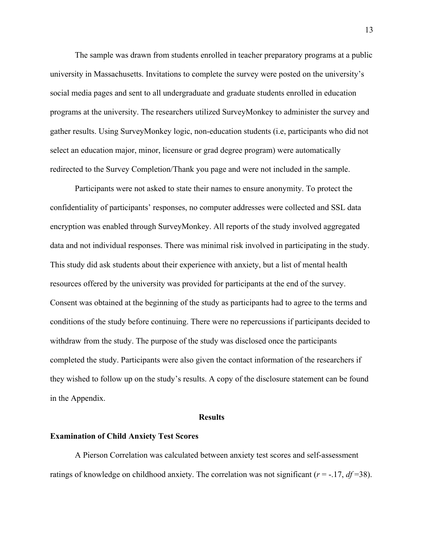The sample was drawn from students enrolled in teacher preparatory programs at a public university in Massachusetts. Invitations to complete the survey were posted on the university's social media pages and sent to all undergraduate and graduate students enrolled in education programs at the university. The researchers utilized SurveyMonkey to administer the survey and gather results. Using SurveyMonkey logic, non-education students (i.e, participants who did not select an education major, minor, licensure or grad degree program) were automatically redirected to the Survey Completion/Thank you page and were not included in the sample.

Participants were not asked to state their names to ensure anonymity. To protect the confidentiality of participants' responses, no computer addresses were collected and SSL data encryption was enabled through SurveyMonkey. All reports of the study involved aggregated data and not individual responses. There was minimal risk involved in participating in the study. This study did ask students about their experience with anxiety, but a list of mental health resources offered by the university was provided for participants at the end of the survey. Consent was obtained at the beginning of the study as participants had to agree to the terms and conditions of the study before continuing. There were no repercussions if participants decided to withdraw from the study. The purpose of the study was disclosed once the participants completed the study. Participants were also given the contact information of the researchers if they wished to follow up on the study's results. A copy of the disclosure statement can be found in the Appendix.

### **Results**

#### **Examination of Child Anxiety Test Scores**

A Pierson Correlation was calculated between anxiety test scores and self-assessment ratings of knowledge on childhood anxiety. The correlation was not significant (*r* = -.17, *df* =38).

13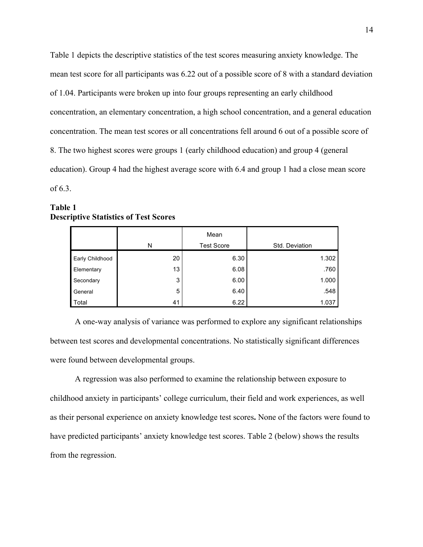Table 1 depicts the descriptive statistics of the test scores measuring anxiety knowledge. The mean test score for all participants was 6.22 out of a possible score of 8 with a standard deviation of 1.04. Participants were broken up into four groups representing an early childhood concentration, an elementary concentration, a high school concentration, and a general education concentration. The mean test scores or all concentrations fell around 6 out of a possible score of 8. The two highest scores were groups 1 (early childhood education) and group 4 (general education). Group 4 had the highest average score with 6.4 and group 1 had a close mean score of 6.3.

## **Table 1 Descriptive Statistics of Test Scores**

|                 |    | Mean              |                |
|-----------------|----|-------------------|----------------|
|                 | N  | <b>Test Score</b> | Std. Deviation |
| Early Childhood | 20 | 6.30              | 1.302          |
| Elementary      | 13 | 6.08              | .760           |
| Secondary       | 3  | 6.00              | 1.000          |
| General         | 5  | 6.40              | .548           |
| Total           | 41 | 6.22              | 1.037          |

A one-way analysis of variance was performed to explore any significant relationships between test scores and developmental concentrations. No statistically significant differences were found between developmental groups.

A regression was also performed to examine the relationship between exposure to childhood anxiety in participants' college curriculum, their field and work experiences, as well as their personal experience on anxiety knowledge test scores**.** None of the factors were found to have predicted participants' anxiety knowledge test scores. Table 2 (below) shows the results from the regression.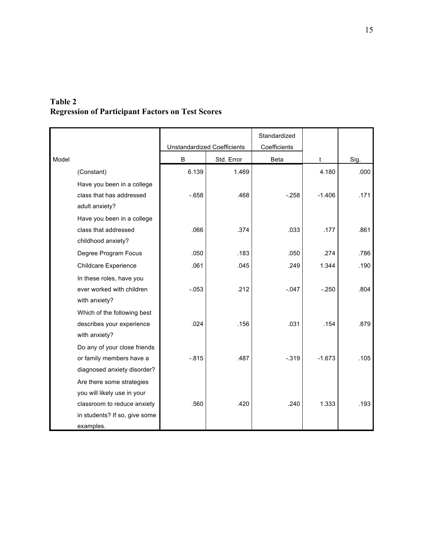## **Table 2 Regression of Participant Factors on Test Scores**

|       |                               |                                    |            | Standardized |          |      |
|-------|-------------------------------|------------------------------------|------------|--------------|----------|------|
|       |                               | <b>Unstandardized Coefficients</b> |            | Coefficients |          |      |
| Model |                               | B                                  | Std. Error | Beta         | t        | Sig. |
|       | (Constant)                    | 6.139                              | 1.469      |              | 4.180    | .000 |
|       | Have you been in a college    |                                    |            |              |          |      |
|       | class that has addressed      | $-658$                             | .468       | $-.258$      | $-1.406$ | .171 |
|       | adult anxiety?                |                                    |            |              |          |      |
|       | Have you been in a college    |                                    |            |              |          |      |
|       | class that addressed          | .066                               | .374       | .033         | .177     | .861 |
|       | childhood anxiety?            |                                    |            |              |          |      |
|       | Degree Program Focus          | .050                               | .183       | .050         | .274     | .786 |
|       | Childcare Experience          | .061                               | .045       | .249         | 1.344    | .190 |
|       | In these roles, have you      |                                    |            |              |          |      |
|       | ever worked with children     | $-0.053$                           | .212       | $-.047$      | $-.250$  | .804 |
|       | with anxiety?                 |                                    |            |              |          |      |
|       | Which of the following best   |                                    |            |              |          |      |
|       | describes your experience     | .024                               | .156       | .031         | .154     | .879 |
|       | with anxiety?                 |                                    |            |              |          |      |
|       | Do any of your close friends  |                                    |            |              |          |      |
|       | or family members have a      | $-0.815$                           | .487       | $-0.319$     | $-1.673$ | .105 |
|       | diagnosed anxiety disorder?   |                                    |            |              |          |      |
|       | Are there some strategies     |                                    |            |              |          |      |
|       | you will likely use in your   |                                    |            |              |          |      |
|       | classroom to reduce anxiety   | .560                               | .420       | .240         | 1.333    | .193 |
|       | in students? If so, give some |                                    |            |              |          |      |
|       | examples.                     |                                    |            |              |          |      |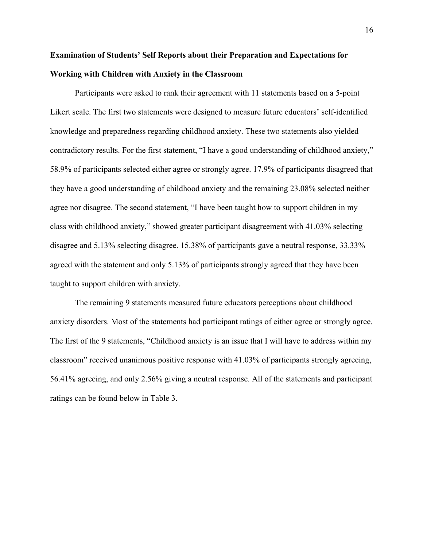# **Examination of Students' Self Reports about their Preparation and Expectations for Working with Children with Anxiety in the Classroom**

Participants were asked to rank their agreement with 11 statements based on a 5-point Likert scale. The first two statements were designed to measure future educators' self-identified knowledge and preparedness regarding childhood anxiety. These two statements also yielded contradictory results. For the first statement, "I have a good understanding of childhood anxiety," 58.9% of participants selected either agree or strongly agree. 17.9% of participants disagreed that they have a good understanding of childhood anxiety and the remaining 23.08% selected neither agree nor disagree. The second statement, "I have been taught how to support children in my class with childhood anxiety," showed greater participant disagreement with 41.03% selecting disagree and 5.13% selecting disagree. 15.38% of participants gave a neutral response, 33.33% agreed with the statement and only 5.13% of participants strongly agreed that they have been taught to support children with anxiety.

The remaining 9 statements measured future educators perceptions about childhood anxiety disorders. Most of the statements had participant ratings of either agree or strongly agree. The first of the 9 statements, "Childhood anxiety is an issue that I will have to address within my classroom" received unanimous positive response with 41.03% of participants strongly agreeing, 56.41% agreeing, and only 2.56% giving a neutral response. All of the statements and participant ratings can be found below in Table 3.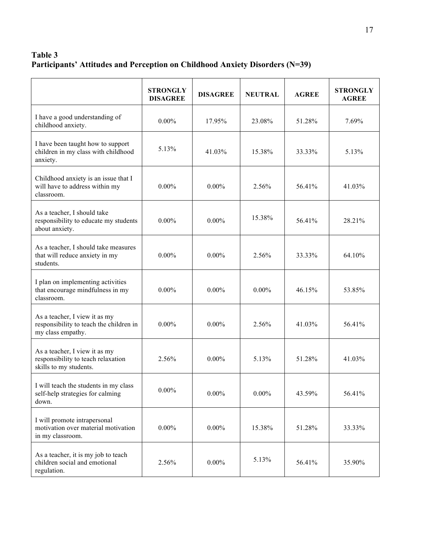# **Table 3 Participants' Attitudes and Perception on Childhood Anxiety Disorders (N=39)**

|                                                                                               | <b>STRONGLY</b><br><b>DISAGREE</b> | <b>DISAGREE</b> | <b>NEUTRAL</b> | <b>AGREE</b> | <b>STRONGLY</b><br><b>AGREE</b> |
|-----------------------------------------------------------------------------------------------|------------------------------------|-----------------|----------------|--------------|---------------------------------|
| I have a good understanding of<br>childhood anxiety.                                          | $0.00\%$                           | 17.95%          | 23.08%         | 51.28%       | 7.69%                           |
| I have been taught how to support<br>children in my class with childhood<br>anxiety.          | 5.13%                              | 41.03%          | 15.38%         | 33.33%       | 5.13%                           |
| Childhood anxiety is an issue that I<br>will have to address within my<br>classroom.          | $0.00\%$                           | $0.00\%$        | 2.56%          | 56.41%       | 41.03%                          |
| As a teacher, I should take<br>responsibility to educate my students<br>about anxiety.        | $0.00\%$                           | $0.00\%$        | 15.38%         | 56.41%       | 28.21%                          |
| As a teacher, I should take measures<br>that will reduce anxiety in my<br>students.           | $0.00\%$                           | $0.00\%$        | 2.56%          | 33.33%       | 64.10%                          |
| I plan on implementing activities<br>that encourage mindfulness in my<br>classroom.           | $0.00\%$                           | $0.00\%$        | $0.00\%$       | 46.15%       | 53.85%                          |
| As a teacher, I view it as my<br>responsibility to teach the children in<br>my class empathy. | $0.00\%$                           | $0.00\%$        | 2.56%          | 41.03%       | 56.41%                          |
| As a teacher, I view it as my<br>responsibility to teach relaxation<br>skills to my students. | 2.56%                              | $0.00\%$        | 5.13%          | 51.28%       | 41.03%                          |
| I will teach the students in my class<br>self-help strategies for calming<br>down.            | $0.00\%$                           | $0.00\%$        | $0.00\%$       | 43.59%       | 56.41%                          |
| I will promote intrapersonal<br>motivation over material motivation<br>in my classroom.       | $0.00\%$                           | $0.00\%$        | 15.38%         | 51.28%       | 33.33%                          |
| As a teacher, it is my job to teach<br>children social and emotional<br>regulation.           | 2.56%                              | $0.00\%$        | 5.13%          | 56.41%       | 35.90%                          |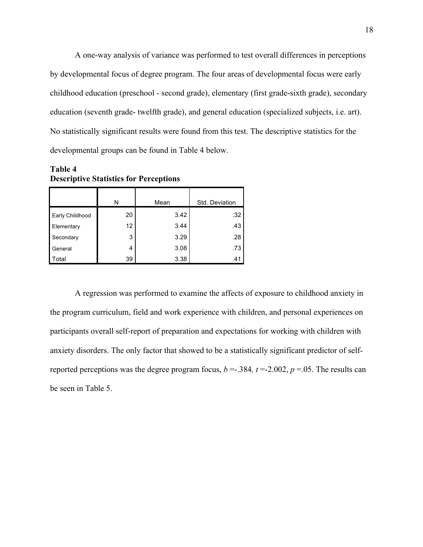A one-way analysis of variance was performed to test overall differences in perceptions by developmental focus of degree program. The four areas of developmental focus were early childhood education (preschool - second grade), elementary (first grade-sixth grade), secondary education (seventh grade- twelfth grade), and general education (specialized subjects, i.e. art). No statistically significant results were found from this test. The descriptive statistics for the developmental groups can be found in Table 4 below.

**Table 4 Descriptive Statistics for Perceptions**

|                        | N  | Mean | Std. Deviation |  |
|------------------------|----|------|----------------|--|
| <b>Early Childhood</b> | 20 | 3.42 | .32            |  |
| Elementary             | 12 | 3.44 | .43            |  |
| Secondary              | 3  | 3.29 | .28            |  |
| General                | 4  | 3.08 | .73            |  |
| l Total                | 39 | 3.38 | .41            |  |

A regression was performed to examine the affects of exposure to childhood anxiety in the program curriculum, field and work experience with children, and personal experiences on participants overall self-report of preparation and expectations for working with children with anxiety disorders. The only factor that showed to be a statistically significant predictor of selfreported perceptions was the degree program focus,  $b = -0.384$ ,  $t = -2.002$ ,  $p = 0.05$ . The results can be seen in Table 5.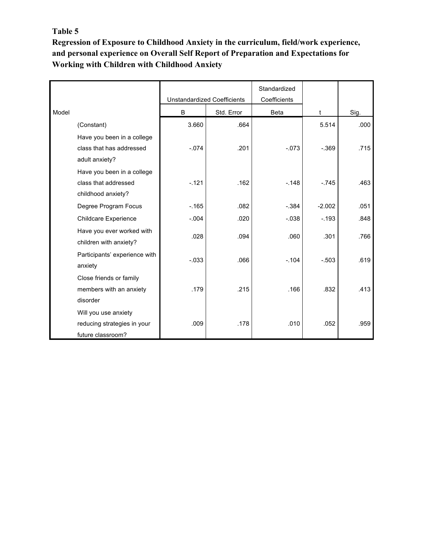## **Table 5** 19

**Regression of Exposure to Childhood Anxiety in the curriculum, field/work experience, and personal experience on Overall Self Report of Preparation and Expectations for Working with Children with Childhood Anxiety**

<u> 1980 - Johann Barnett, fransk politiker (d. 1980)</u>

|       |                               |                                    |            | Standardized |          |      |
|-------|-------------------------------|------------------------------------|------------|--------------|----------|------|
|       |                               | <b>Unstandardized Coefficients</b> |            | Coefficients |          |      |
| Model |                               | B                                  | Std. Error | Beta         | t        | Sig. |
|       | (Constant)                    | 3.660                              | .664       |              | 5.514    | .000 |
|       | Have you been in a college    |                                    |            |              |          |      |
|       | class that has addressed      | $-.074$                            | .201       | $-073$       | $-.369$  | .715 |
|       | adult anxiety?                |                                    |            |              |          |      |
|       | Have you been in a college    |                                    |            |              |          |      |
|       | class that addressed          | $-.121$                            | .162       | $-.148$      | $-.745$  | .463 |
|       | childhood anxiety?            |                                    |            |              |          |      |
|       | Degree Program Focus          | $-0.165$                           | .082       | $-0.384$     | $-2.002$ | .051 |
|       | Childcare Experience          | $-.004$                            | .020       | $-.038$      | $-193$   | .848 |
|       | Have you ever worked with     | .028                               | .094       | .060         | .301     | .766 |
|       | children with anxiety?        |                                    |            |              |          |      |
|       | Participants' experience with | $-0.033$                           | .066       | $-.104$      | $-503$   | .619 |
|       | anxiety                       |                                    |            |              |          |      |
|       | Close friends or family       |                                    |            |              |          |      |
|       | members with an anxiety       | .179                               | .215       | .166         | .832     | .413 |
|       | disorder                      |                                    |            |              |          |      |
|       | Will you use anxiety          |                                    |            |              |          |      |
|       | reducing strategies in your   | .009                               | .178       | .010         | .052     | .959 |
|       | future classroom?             |                                    |            |              |          |      |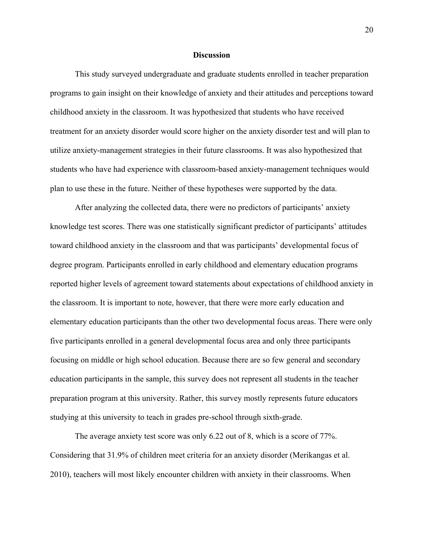### **Discussion**

This study surveyed undergraduate and graduate students enrolled in teacher preparation programs to gain insight on their knowledge of anxiety and their attitudes and perceptions toward childhood anxiety in the classroom. It was hypothesized that students who have received treatment for an anxiety disorder would score higher on the anxiety disorder test and will plan to utilize anxiety-management strategies in their future classrooms. It was also hypothesized that students who have had experience with classroom-based anxiety-management techniques would plan to use these in the future. Neither of these hypotheses were supported by the data.

After analyzing the collected data, there were no predictors of participants' anxiety knowledge test scores. There was one statistically significant predictor of participants' attitudes toward childhood anxiety in the classroom and that was participants' developmental focus of degree program. Participants enrolled in early childhood and elementary education programs reported higher levels of agreement toward statements about expectations of childhood anxiety in the classroom. It is important to note, however, that there were more early education and elementary education participants than the other two developmental focus areas. There were only five participants enrolled in a general developmental focus area and only three participants focusing on middle or high school education. Because there are so few general and secondary education participants in the sample, this survey does not represent all students in the teacher preparation program at this university. Rather, this survey mostly represents future educators studying at this university to teach in grades pre-school through sixth-grade.

The average anxiety test score was only 6.22 out of 8, which is a score of 77%. Considering that 31.9% of children meet criteria for an anxiety disorder (Merikangas et al. 2010), teachers will most likely encounter children with anxiety in their classrooms. When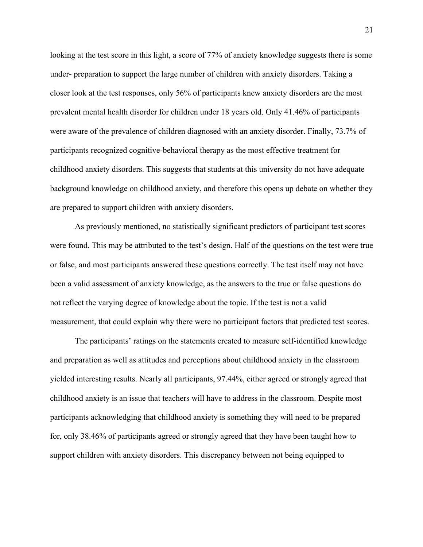looking at the test score in this light, a score of 77% of anxiety knowledge suggests there is some under- preparation to support the large number of children with anxiety disorders. Taking a closer look at the test responses, only 56% of participants knew anxiety disorders are the most prevalent mental health disorder for children under 18 years old. Only 41.46% of participants were aware of the prevalence of children diagnosed with an anxiety disorder. Finally, 73.7% of participants recognized cognitive-behavioral therapy as the most effective treatment for childhood anxiety disorders. This suggests that students at this university do not have adequate background knowledge on childhood anxiety, and therefore this opens up debate on whether they are prepared to support children with anxiety disorders.

As previously mentioned, no statistically significant predictors of participant test scores were found. This may be attributed to the test's design. Half of the questions on the test were true or false, and most participants answered these questions correctly. The test itself may not have been a valid assessment of anxiety knowledge, as the answers to the true or false questions do not reflect the varying degree of knowledge about the topic. If the test is not a valid measurement, that could explain why there were no participant factors that predicted test scores.

The participants' ratings on the statements created to measure self-identified knowledge and preparation as well as attitudes and perceptions about childhood anxiety in the classroom yielded interesting results. Nearly all participants, 97.44%, either agreed or strongly agreed that childhood anxiety is an issue that teachers will have to address in the classroom. Despite most participants acknowledging that childhood anxiety is something they will need to be prepared for, only 38.46% of participants agreed or strongly agreed that they have been taught how to support children with anxiety disorders. This discrepancy between not being equipped to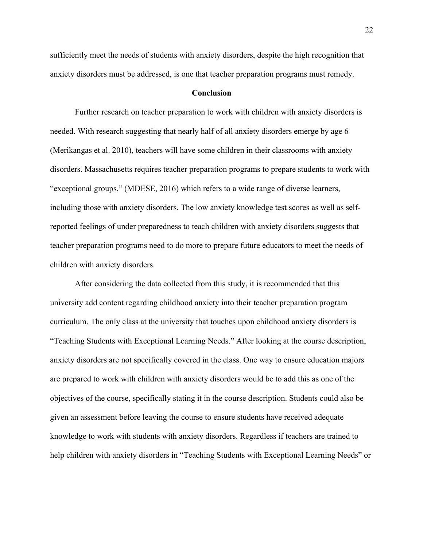sufficiently meet the needs of students with anxiety disorders, despite the high recognition that anxiety disorders must be addressed, is one that teacher preparation programs must remedy.

## **Conclusion**

Further research on teacher preparation to work with children with anxiety disorders is needed. With research suggesting that nearly half of all anxiety disorders emerge by age 6 (Merikangas et al. 2010), teachers will have some children in their classrooms with anxiety disorders. Massachusetts requires teacher preparation programs to prepare students to work with "exceptional groups," (MDESE, 2016) which refers to a wide range of diverse learners, including those with anxiety disorders. The low anxiety knowledge test scores as well as selfreported feelings of under preparedness to teach children with anxiety disorders suggests that teacher preparation programs need to do more to prepare future educators to meet the needs of children with anxiety disorders.

After considering the data collected from this study, it is recommended that this university add content regarding childhood anxiety into their teacher preparation program curriculum. The only class at the university that touches upon childhood anxiety disorders is "Teaching Students with Exceptional Learning Needs." After looking at the course description, anxiety disorders are not specifically covered in the class. One way to ensure education majors are prepared to work with children with anxiety disorders would be to add this as one of the objectives of the course, specifically stating it in the course description. Students could also be given an assessment before leaving the course to ensure students have received adequate knowledge to work with students with anxiety disorders. Regardless if teachers are trained to help children with anxiety disorders in "Teaching Students with Exceptional Learning Needs" or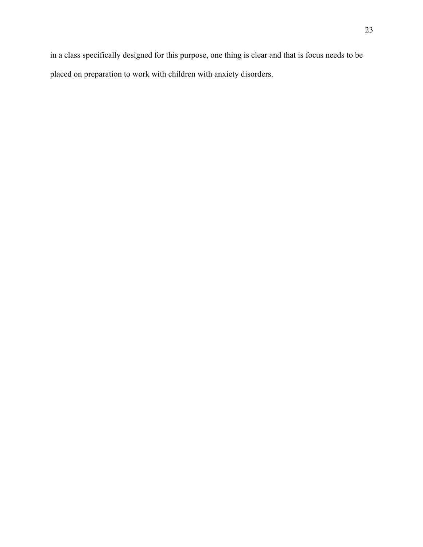in a class specifically designed for this purpose, one thing is clear and that is focus needs to be placed on preparation to work with children with anxiety disorders.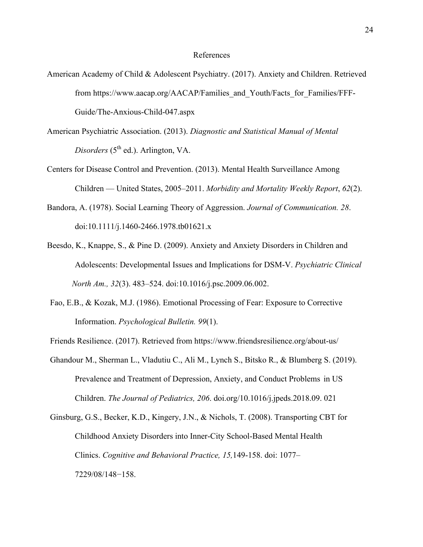### References

- American Academy of Child & Adolescent Psychiatry. (2017). Anxiety and Children. Retrieved from https://www.aacap.org/AACAP/Families\_and\_Youth/Facts\_for\_Families/FFF-Guide/The-Anxious-Child-047.aspx
- American Psychiatric Association. (2013). *Diagnostic and Statistical Manual of Mental Disorders* (5<sup>th</sup> ed.). Arlington, VA.
- Centers for Disease Control and Prevention. (2013). Mental Health Surveillance Among Children — United States, 2005–2011. *Morbidity and Mortality Weekly Report*, *62*(2).
- Bandora, A. (1978). Social Learning Theory of Aggression. *Journal of Communication. 28*. doi:10.1111/j.1460-2466.1978.tb01621.x
- Beesdo, K., Knappe, S., & Pine D. (2009). Anxiety and Anxiety Disorders in Children and Adolescents: Developmental Issues and Implications for DSM-V. *Psychiatric Clinical North Am., 32*(3). 483–524. doi:10.1016/j.psc.2009.06.002.
- Fao, E.B., & Kozak, M.J. (1986). Emotional Processing of Fear: Exposure to Corrective Information. *Psychological Bulletin. 99*(1).
- Friends Resilience. (2017). Retrieved from https://www.friendsresilience.org/about-us/
- Ghandour M., Sherman L., Vladutiu C., Ali M., Lynch S., Bitsko R., & Blumberg S. (2019). Prevalence and Treatment of Depression, Anxiety, and Conduct Problems in US Children. *The Journal of Pediatrics, 206*. doi.org/10.1016/j.jpeds.2018.09. 021
- Ginsburg, G.S., Becker, K.D., Kingery, J.N., & Nichols, T. (2008). Transporting CBT for Childhood Anxiety Disorders into Inner-City School-Based Mental Health Clinics. *Cognitive and Behavioral Practice, 15,*149-158. doi: 1077– 7229/08/148−158.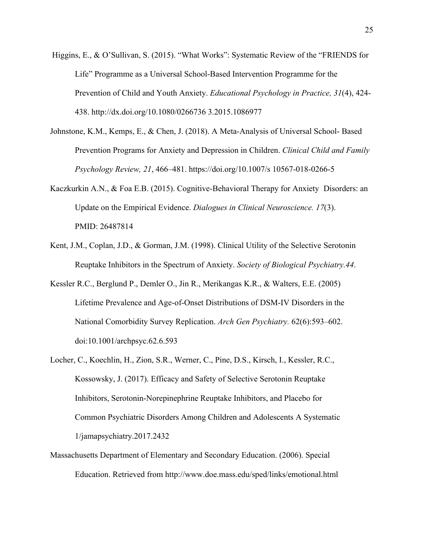- Higgins, E., & O'Sullivan, S. (2015). "What Works": Systematic Review of the "FRIENDS for Life" Programme as a Universal School-Based Intervention Programme for the Prevention of Child and Youth Anxiety. *Educational Psychology in Practice, 31*(4), 424- 438. http://dx.doi.org/10.1080/0266736 3.2015.1086977
- Johnstone, K.M., Kemps, E., & Chen, J. (2018). A Meta-Analysis of Universal School- Based Prevention Programs for Anxiety and Depression in Children. *Clinical Child and Family Psychology Review, 21*, 466–481. https://doi.org/10.1007/s 10567-018-0266-5
- Kaczkurkin A.N., & Foa E.B. (2015). Cognitive-Behavioral Therapy for Anxiety Disorders: an Update on the Empirical Evidence. *Dialogues in Clinical Neuroscience. 17*(3). PMID: 26487814
- Kent, J.M., Coplan, J.D., & Gorman, J.M. (1998). Clinical Utility of the Selective Serotonin Reuptake Inhibitors in the Spectrum of Anxiety. *Society of Biological Psychiatry.44*.
- Kessler R.C., Berglund P., Demler O., Jin R., Merikangas K.R., & Walters, E.E. (2005) Lifetime Prevalence and Age-of-Onset Distributions of DSM-IV Disorders in the National Comorbidity Survey Replication. *Arch Gen Psychiatry.* 62(6):593–602. doi:10.1001/archpsyc.62.6.593
- Locher, C., Koechlin, H., Zion, S.R., Werner, C., Pine, D.S., Kirsch, I., Kessler, R.C., Kossowsky, J. (2017). Efficacy and Safety of Selective Serotonin Reuptake Inhibitors, Serotonin-Norepinephrine Reuptake Inhibitors, and Placebo for Common Psychiatric Disorders Among Children and Adolescents A Systematic 1/jamapsychiatry.2017.2432
- Massachusetts Department of Elementary and Secondary Education. (2006). Special Education. Retrieved from http://www.doe.mass.edu/sped/links/emotional.html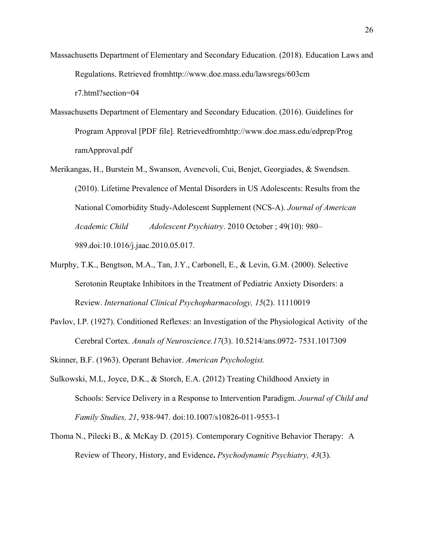- Massachusetts Department of Elementary and Secondary Education. (2018). Education Laws and Regulations. Retrieved fromhttp://www.doe.mass.edu/lawsregs/603cm r7.html?section=04
- Massachusetts Department of Elementary and Secondary Education. (2016). Guidelines for Program Approval [PDF file]. Retrievedfromhttp://www.doe.mass.edu/edprep/Prog ramApproval.pdf
- Merikangas, H., Burstein M., Swanson, Avenevoli, Cui, Benjet, Georgiades, & Swendsen. (2010). Lifetime Prevalence of Mental Disorders in US Adolescents: Results from the National Comorbidity Study-Adolescent Supplement (NCS-A). *Journal of American Academic Child Adolescent Psychiatry*. 2010 October ; 49(10): 980– 989.doi:10.1016/j.jaac.2010.05.017.
- Murphy, T.K., Bengtson, M.A., Tan, J.Y., Carbonell, E., & Levin, G.M. (2000). Selective Serotonin Reuptake Inhibitors in the Treatment of Pediatric Anxiety Disorders: a Review. *International Clinical Psychopharmacology, 15*(2). 11110019
- Pavlov, I.P. (1927). Conditioned Reflexes: an Investigation of the Physiological Activity of the Cerebral Cortex. *Annals of Neuroscience.17*(3). 10.5214/ans.0972- 7531.1017309
- Skinner, B.F. (1963). Operant Behavior. *American Psychologist.*
- Sulkowski, M.L, Joyce, D.K., & Storch, E.A. (2012) Treating Childhood Anxiety in Schools: Service Delivery in a Response to Intervention Paradigm. *Journal of Child and Family Studies, 21*, 938-947. doi:10.1007/s10826-011-9553-1
- Thoma N., Pilecki B., & McKay D. (2015). Contemporary Cognitive Behavior Therapy: A Review of Theory, History, and Evidence**.** *Psychodynamic Psychiatry, 43*(3).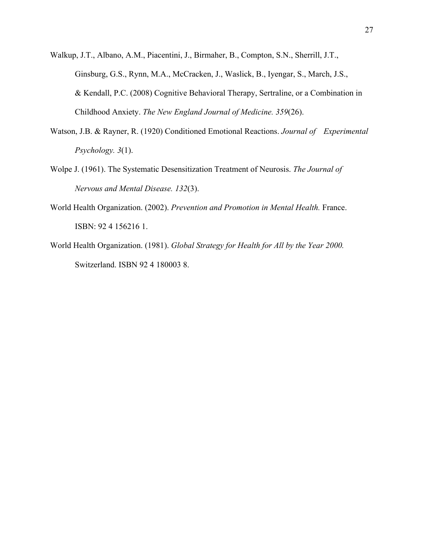Walkup, J.T., Albano, A.M., Piacentini, J., Birmaher, B., Compton, S.N., Sherrill, J.T., Ginsburg, G.S., Rynn, M.A., McCracken, J., Waslick, B., Iyengar, S., March, J.S., & Kendall, P.C. (2008) Cognitive Behavioral Therapy, Sertraline, or a Combination in Childhood Anxiety. *The New England Journal of Medicine. 359*(26).

- Watson, J.B. & Rayner, R. (1920) Conditioned Emotional Reactions. *Journal of Experimental Psychology. 3*(1).
- Wolpe J. (1961). The Systematic Desensitization Treatment of Neurosis. *The Journal of Nervous and Mental Disease. 132*(3).
- World Health Organization. (2002). *Prevention and Promotion in Mental Health.* France. ISBN: 92 4 156216 1.
- World Health Organization. (1981). *Global Strategy for Health for All by the Year 2000.*  Switzerland. ISBN 92 4 180003 8.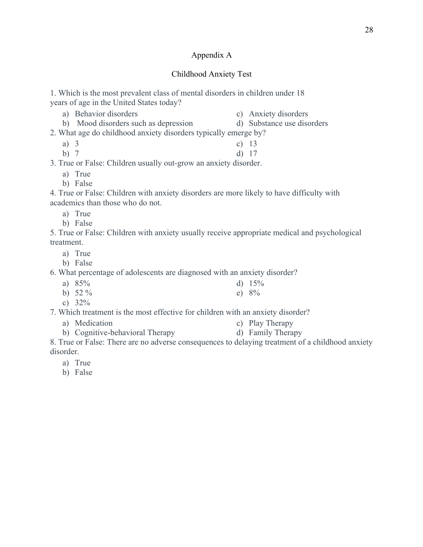## Appendix A

## Childhood Anxiety Test

1. Which is the most prevalent class of mental disorders in children under 18 years of age in the United States today?

- a) Behavior disorders c) Anxiety disorders
- b) Mood disorders such as depression d) Substance use disorders
- 2. What age do childhood anxiety disorders typically emerge by?
	- a) 3 b) 7 c) 13 d) 17
	-

3. True or False: Children usually out-grow an anxiety disorder.

- a) True
- b) False

4. True or False: Children with anxiety disorders are more likely to have difficulty with academics than those who do not.

- a) True
- b) False

5. True or False: Children with anxiety usually receive appropriate medical and psychological treatment.

- a) True
- b) False

6. What percentage of adolescents are diagnosed with an anxiety disorder?

- a) 85% b)  $52 \%$ d)  $15%$ e) 8%
- c) 32%

7. Which treatment is the most effective for children with an anxiety disorder?

- a) Medication c) Play Therapy
- b) Cognitive-behavioral Therapy d) Family Therapy

8. True or False: There are no adverse consequences to delaying treatment of a childhood anxiety disorder.

- a) True
- b) False